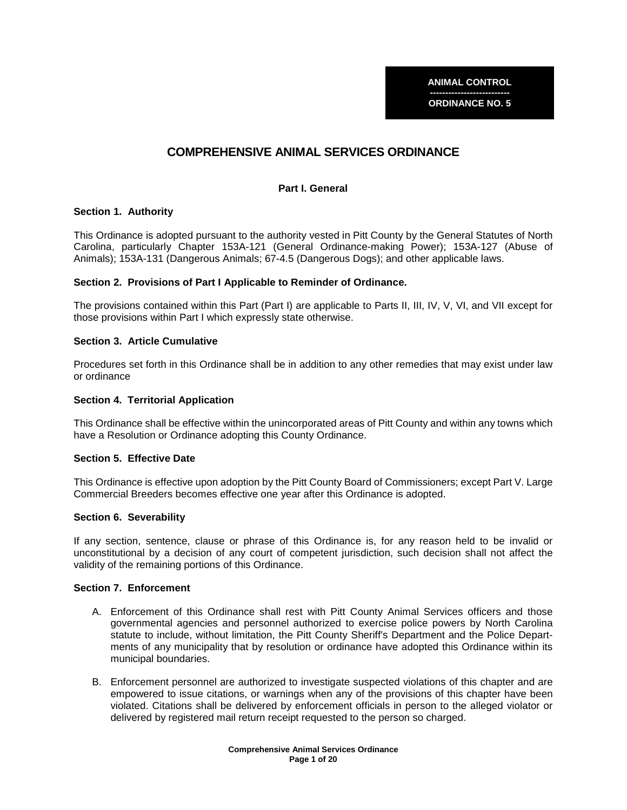# **COMPREHENSIVE ANIMAL SERVICES ORDINANCE**

#### **Part I. General**

#### **Section 1. Authority**

This Ordinance is adopted pursuant to the authority vested in Pitt County by the General Statutes of North Carolina, particularly Chapter 153A-121 (General Ordinance-making Power); 153A-127 (Abuse of Animals); 153A-131 (Dangerous Animals; 67-4.5 (Dangerous Dogs); and other applicable laws.

#### **Section 2. Provisions of Part I Applicable to Reminder of Ordinance.**

The provisions contained within this Part (Part I) are applicable to Parts II, III, IV, V, VI, and VII except for those provisions within Part I which expressly state otherwise.

#### **Section 3. Article Cumulative**

Procedures set forth in this Ordinance shall be in addition to any other remedies that may exist under law or ordinance

#### **Section 4. Territorial Application**

This Ordinance shall be effective within the unincorporated areas of Pitt County and within any towns which have a Resolution or Ordinance adopting this County Ordinance.

### **Section 5. Effective Date**

This Ordinance is effective upon adoption by the Pitt County Board of Commissioners; except Part V. Large Commercial Breeders becomes effective one year after this Ordinance is adopted.

#### **Section 6. Severability**

If any section, sentence, clause or phrase of this Ordinance is, for any reason held to be invalid or unconstitutional by a decision of any court of competent jurisdiction, such decision shall not affect the validity of the remaining portions of this Ordinance.

# **Section 7. Enforcement**

- A. Enforcement of this Ordinance shall rest with Pitt County Animal Services officers and those governmental agencies and personnel authorized to exercise police powers by North Carolina statute to include, without limitation, the Pitt County Sheriff's Department and the Police Departments of any municipality that by resolution or ordinance have adopted this Ordinance within its municipal boundaries.
- B. Enforcement personnel are authorized to investigate suspected violations of this chapter and are empowered to issue citations, or warnings when any of the provisions of this chapter have been violated. Citations shall be delivered by enforcement officials in person to the alleged violator or delivered by registered mail return receipt requested to the person so charged.

**Comprehensive Animal Services Ordinance Page 1 of 20**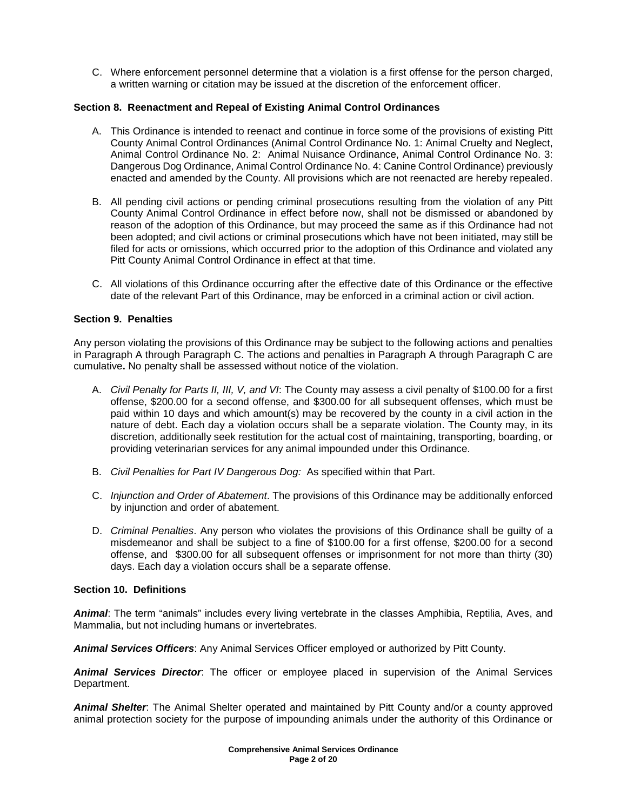C. Where enforcement personnel determine that a violation is a first offense for the person charged, a written warning or citation may be issued at the discretion of the enforcement officer.

## **Section 8. Reenactment and Repeal of Existing Animal Control Ordinances**

- A. This Ordinance is intended to reenact and continue in force some of the provisions of existing Pitt County Animal Control Ordinances (Animal Control Ordinance No. 1: Animal Cruelty and Neglect, Animal Control Ordinance No. 2: Animal Nuisance Ordinance, Animal Control Ordinance No. 3: Dangerous Dog Ordinance, Animal Control Ordinance No. 4: Canine Control Ordinance) previously enacted and amended by the County. All provisions which are not reenacted are hereby repealed.
- B. All pending civil actions or pending criminal prosecutions resulting from the violation of any Pitt County Animal Control Ordinance in effect before now, shall not be dismissed or abandoned by reason of the adoption of this Ordinance, but may proceed the same as if this Ordinance had not been adopted; and civil actions or criminal prosecutions which have not been initiated, may still be filed for acts or omissions, which occurred prior to the adoption of this Ordinance and violated any Pitt County Animal Control Ordinance in effect at that time.
- C. All violations of this Ordinance occurring after the effective date of this Ordinance or the effective date of the relevant Part of this Ordinance, may be enforced in a criminal action or civil action.

### **Section 9. Penalties**

Any person violating the provisions of this Ordinance may be subject to the following actions and penalties in Paragraph A through Paragraph C. The actions and penalties in Paragraph A through Paragraph C are cumulative**.** No penalty shall be assessed without notice of the violation.

- A. Civil Penalty for Parts II, III, V, and VI: The County may assess a civil penalty of \$100.00 for a first offense, \$200.00 for a second offense, and \$300.00 for all subsequent offenses, which must be paid within 10 days and which amount(s) may be recovered by the county in a civil action in the nature of debt. Each day a violation occurs shall be a separate violation. The County may, in its discretion, additionally seek restitution for the actual cost of maintaining, transporting, boarding, or providing veterinarian services for any animal impounded under this Ordinance.
- B. Civil Penalties for Part IV Dangerous Dog: As specified within that Part.
- C. Injunction and Order of Abatement. The provisions of this Ordinance may be additionally enforced by injunction and order of abatement.
- D. Criminal Penalties. Any person who violates the provisions of this Ordinance shall be quilty of a misdemeanor and shall be subject to a fine of \$100.00 for a first offense, \$200.00 for a second offense, and \$300.00 for all subsequent offenses or imprisonment for not more than thirty (30) days. Each day a violation occurs shall be a separate offense.

### **Section 10. Definitions**

**Animal**: The term "animals" includes every living vertebrate in the classes Amphibia, Reptilia, Aves, and Mammalia, but not including humans or invertebrates.

**Animal Services Officers**: Any Animal Services Officer employed or authorized by Pitt County.

**Animal Services Director**: The officer or employee placed in supervision of the Animal Services Department.

**Animal Shelter**: The Animal Shelter operated and maintained by Pitt County and/or a county approved animal protection society for the purpose of impounding animals under the authority of this Ordinance or

> **Comprehensive Animal Services Ordinance Page 2 of 20**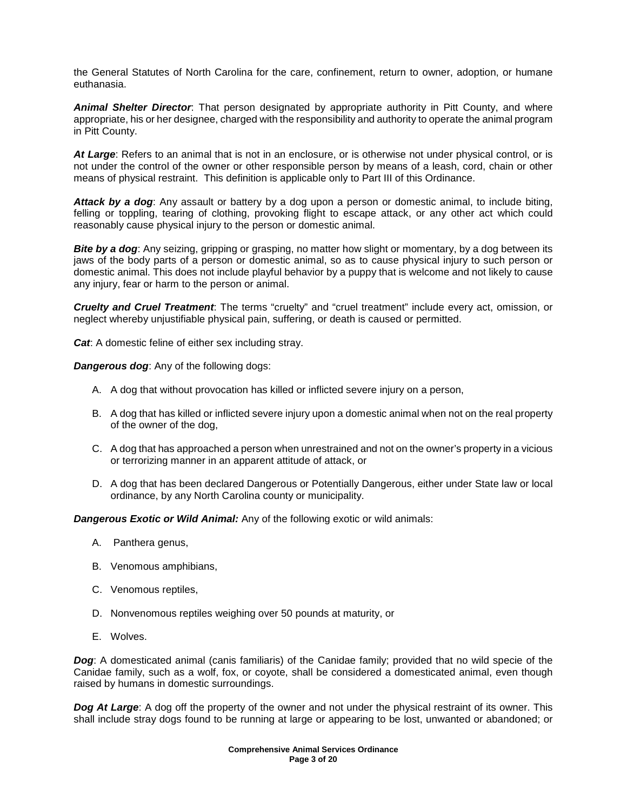the General Statutes of North Carolina for the care, confinement, return to owner, adoption, or humane euthanasia.

**Animal Shelter Director**: That person designated by appropriate authority in Pitt County, and where appropriate, his or her designee, charged with the responsibility and authority to operate the animal program in Pitt County.

**At Large**: Refers to an animal that is not in an enclosure, or is otherwise not under physical control, or is not under the control of the owner or other responsible person by means of a leash, cord, chain or other means of physical restraint. This definition is applicable only to Part III of this Ordinance.

**Attack by a dog**: Any assault or battery by a dog upon a person or domestic animal, to include biting, felling or toppling, tearing of clothing, provoking flight to escape attack, or any other act which could reasonably cause physical injury to the person or domestic animal.

**Bite by a dog**: Any seizing, gripping or grasping, no matter how slight or momentary, by a dog between its jaws of the body parts of a person or domestic animal, so as to cause physical injury to such person or domestic animal. This does not include playful behavior by a puppy that is welcome and not likely to cause any injury, fear or harm to the person or animal.

**Cruelty and Cruel Treatment**: The terms "cruelty" and "cruel treatment" include every act, omission, or neglect whereby unjustifiable physical pain, suffering, or death is caused or permitted.

**Cat**: A domestic feline of either sex including stray.

**Dangerous dog**: Any of the following dogs:

- A. A dog that without provocation has killed or inflicted severe injury on a person,
- B. A dog that has killed or inflicted severe injury upon a domestic animal when not on the real property of the owner of the dog,
- C. A dog that has approached a person when unrestrained and not on the owner's property in a vicious or terrorizing manner in an apparent attitude of attack, or
- D. A dog that has been declared Dangerous or Potentially Dangerous, either under State law or local ordinance, by any North Carolina county or municipality.

**Dangerous Exotic or Wild Animal:** Any of the following exotic or wild animals:

- A. Panthera genus,
- B. Venomous amphibians,
- C. Venomous reptiles,
- D. Nonvenomous reptiles weighing over 50 pounds at maturity, or
- E. Wolves.

**Dog**: A domesticated animal (canis familiaris) of the Canidae family; provided that no wild specie of the Canidae family, such as a wolf, fox, or coyote, shall be considered a domesticated animal, even though raised by humans in domestic surroundings.

**Dog At Large**: A dog off the property of the owner and not under the physical restraint of its owner. This shall include stray dogs found to be running at large or appearing to be lost, unwanted or abandoned; or

> **Comprehensive Animal Services Ordinance Page 3 of 20**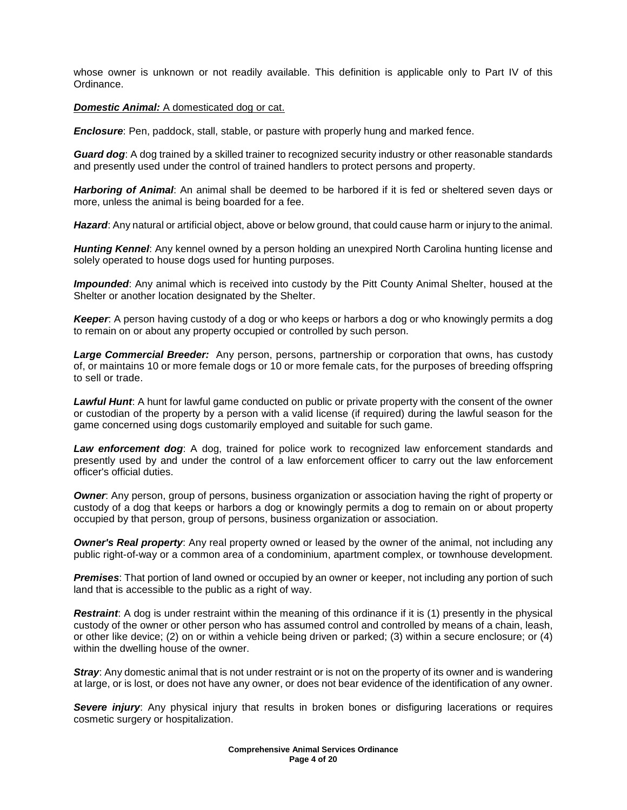whose owner is unknown or not readily available. This definition is applicable only to Part IV of this Ordinance.

#### **Domestic Animal:** A domesticated dog or cat.

**Enclosure**: Pen, paddock, stall, stable, or pasture with properly hung and marked fence.

**Guard dog**: A dog trained by a skilled trainer to recognized security industry or other reasonable standards and presently used under the control of trained handlers to protect persons and property.

**Harboring of Animal**: An animal shall be deemed to be harbored if it is fed or sheltered seven days or more, unless the animal is being boarded for a fee.

**Hazard**: Any natural or artificial object, above or below ground, that could cause harm or injury to the animal.

**Hunting Kennel**: Any kennel owned by a person holding an unexpired North Carolina hunting license and solely operated to house dogs used for hunting purposes.

**Impounded**: Any animal which is received into custody by the Pitt County Animal Shelter, housed at the Shelter or another location designated by the Shelter.

**Keeper**: A person having custody of a dog or who keeps or harbors a dog or who knowingly permits a dog to remain on or about any property occupied or controlled by such person.

**Large Commercial Breeder:** Any person, persons, partnership or corporation that owns, has custody of, or maintains 10 or more female dogs or 10 or more female cats, for the purposes of breeding offspring to sell or trade.

**Lawful Hunt**: A hunt for lawful game conducted on public or private property with the consent of the owner or custodian of the property by a person with a valid license (if required) during the lawful season for the game concerned using dogs customarily employed and suitable for such game.

**Law enforcement dog**: A dog, trained for police work to recognized law enforcement standards and presently used by and under the control of a law enforcement officer to carry out the law enforcement officer's official duties.

**Owner**: Any person, group of persons, business organization or association having the right of property or custody of a dog that keeps or harbors a dog or knowingly permits a dog to remain on or about property occupied by that person, group of persons, business organization or association.

**Owner's Real property:** Any real property owned or leased by the owner of the animal, not including any public right-of-way or a common area of a condominium, apartment complex, or townhouse development.

**Premises**: That portion of land owned or occupied by an owner or keeper, not including any portion of such land that is accessible to the public as a right of way.

**Restraint**: A dog is under restraint within the meaning of this ordinance if it is (1) presently in the physical custody of the owner or other person who has assumed control and controlled by means of a chain, leash, or other like device; (2) on or within a vehicle being driven or parked; (3) within a secure enclosure; or (4) within the dwelling house of the owner.

**Stray**: Any domestic animal that is not under restraint or is not on the property of its owner and is wandering at large, or is lost, or does not have any owner, or does not bear evidence of the identification of any owner.

**Severe injury**: Any physical injury that results in broken bones or disfiguring lacerations or requires cosmetic surgery or hospitalization.

> **Comprehensive Animal Services Ordinance Page 4 of 20**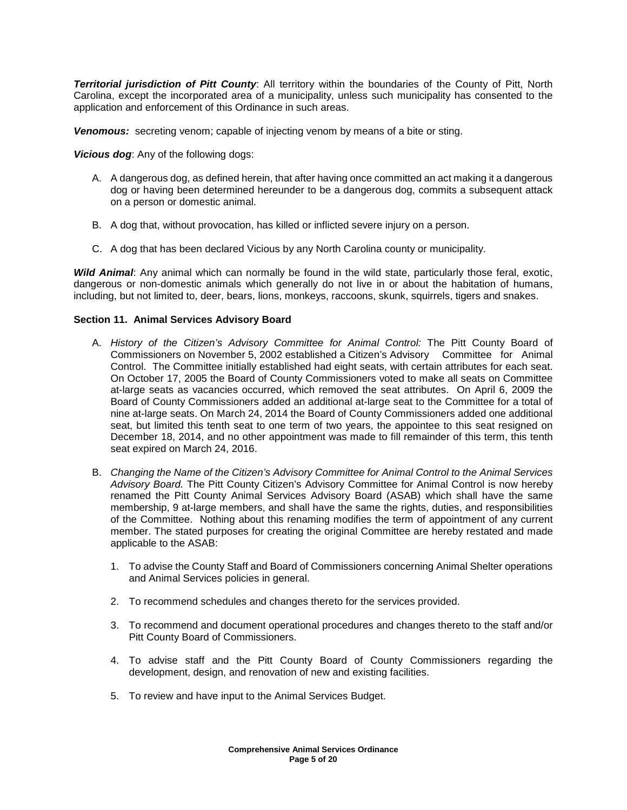**Territorial jurisdiction of Pitt County**: All territory within the boundaries of the County of Pitt, North Carolina, except the incorporated area of a municipality, unless such municipality has consented to the application and enforcement of this Ordinance in such areas.

**Venomous:** secreting venom; capable of injecting venom by means of a bite or sting.

**Vicious dog**: Any of the following dogs:

- A. A dangerous dog, as defined herein, that after having once committed an act making it a dangerous dog or having been determined hereunder to be a dangerous dog, commits a subsequent attack on a person or domestic animal.
- B. A dog that, without provocation, has killed or inflicted severe injury on a person.
- C. A dog that has been declared Vicious by any North Carolina county or municipality.

Wild Animal: Any animal which can normally be found in the wild state, particularly those feral, exotic, dangerous or non-domestic animals which generally do not live in or about the habitation of humans, including, but not limited to, deer, bears, lions, monkeys, raccoons, skunk, squirrels, tigers and snakes.

#### **Section 11. Animal Services Advisory Board**

- A. History of the Citizen's Advisory Committee for Animal Control: The Pitt County Board of Commissioners on November 5, 2002 established a Citizen's Advisory Committee for Animal Control. The Committee initially established had eight seats, with certain attributes for each seat. On October 17, 2005 the Board of County Commissioners voted to make all seats on Committee at-large seats as vacancies occurred, which removed the seat attributes. On April 6, 2009 the Board of County Commissioners added an additional at-large seat to the Committee for a total of nine at-large seats. On March 24, 2014 the Board of County Commissioners added one additional seat, but limited this tenth seat to one term of two years, the appointee to this seat resigned on December 18, 2014, and no other appointment was made to fill remainder of this term, this tenth seat expired on March 24, 2016.
- B. Changing the Name of the Citizen's Advisory Committee for Animal Control to the Animal Services Advisory Board. The Pitt County Citizen's Advisory Committee for Animal Control is now hereby renamed the Pitt County Animal Services Advisory Board (ASAB) which shall have the same membership, 9 at-large members, and shall have the same the rights, duties, and responsibilities of the Committee. Nothing about this renaming modifies the term of appointment of any current member. The stated purposes for creating the original Committee are hereby restated and made applicable to the ASAB:
	- 1. To advise the County Staff and Board of Commissioners concerning Animal Shelter operations and Animal Services policies in general.
	- 2. To recommend schedules and changes thereto for the services provided.
	- 3. To recommend and document operational procedures and changes thereto to the staff and/or Pitt County Board of Commissioners.
	- 4. To advise staff and the Pitt County Board of County Commissioners regarding the development, design, and renovation of new and existing facilities.
	- 5. To review and have input to the Animal Services Budget.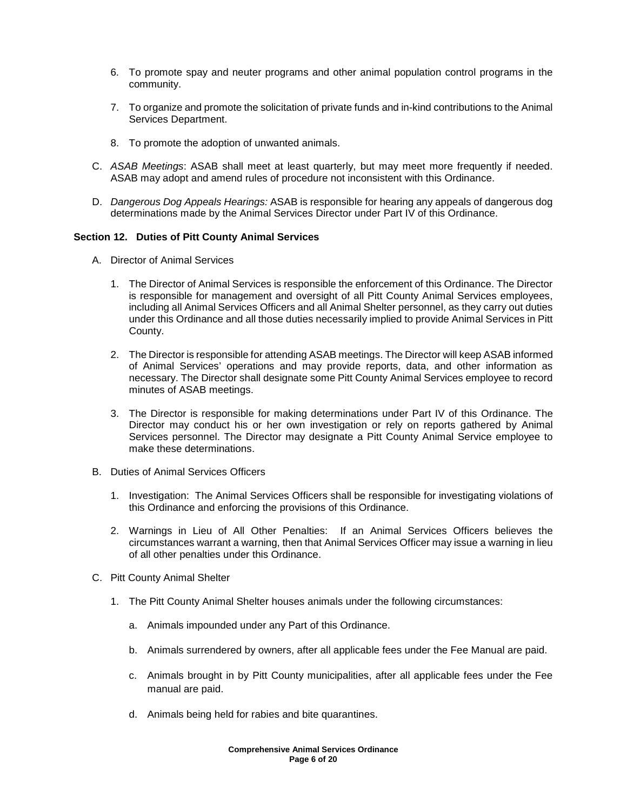- 6. To promote spay and neuter programs and other animal population control programs in the community.
- 7. To organize and promote the solicitation of private funds and in-kind contributions to the Animal Services Department.
- 8. To promote the adoption of unwanted animals.
- C. ASAB Meetings: ASAB shall meet at least quarterly, but may meet more frequently if needed. ASAB may adopt and amend rules of procedure not inconsistent with this Ordinance.
- D. Dangerous Dog Appeals Hearings: ASAB is responsible for hearing any appeals of dangerous dog determinations made by the Animal Services Director under Part IV of this Ordinance.

### **Section 12. Duties of Pitt County Animal Services**

- A. Director of Animal Services
	- 1. The Director of Animal Services is responsible the enforcement of this Ordinance. The Director is responsible for management and oversight of all Pitt County Animal Services employees, including all Animal Services Officers and all Animal Shelter personnel, as they carry out duties under this Ordinance and all those duties necessarily implied to provide Animal Services in Pitt County.
	- 2. The Director is responsible for attending ASAB meetings. The Director will keep ASAB informed of Animal Services' operations and may provide reports, data, and other information as necessary. The Director shall designate some Pitt County Animal Services employee to record minutes of ASAB meetings.
	- 3. The Director is responsible for making determinations under Part IV of this Ordinance. The Director may conduct his or her own investigation or rely on reports gathered by Animal Services personnel. The Director may designate a Pitt County Animal Service employee to make these determinations.
- B. Duties of Animal Services Officers
	- 1. Investigation: The Animal Services Officers shall be responsible for investigating violations of this Ordinance and enforcing the provisions of this Ordinance.
	- 2. Warnings in Lieu of All Other Penalties: If an Animal Services Officers believes the circumstances warrant a warning, then that Animal Services Officer may issue a warning in lieu of all other penalties under this Ordinance.
- C. Pitt County Animal Shelter
	- 1. The Pitt County Animal Shelter houses animals under the following circumstances:
		- a. Animals impounded under any Part of this Ordinance.
		- b. Animals surrendered by owners, after all applicable fees under the Fee Manual are paid.
		- c. Animals brought in by Pitt County municipalities, after all applicable fees under the Fee manual are paid.
		- d. Animals being held for rabies and bite quarantines.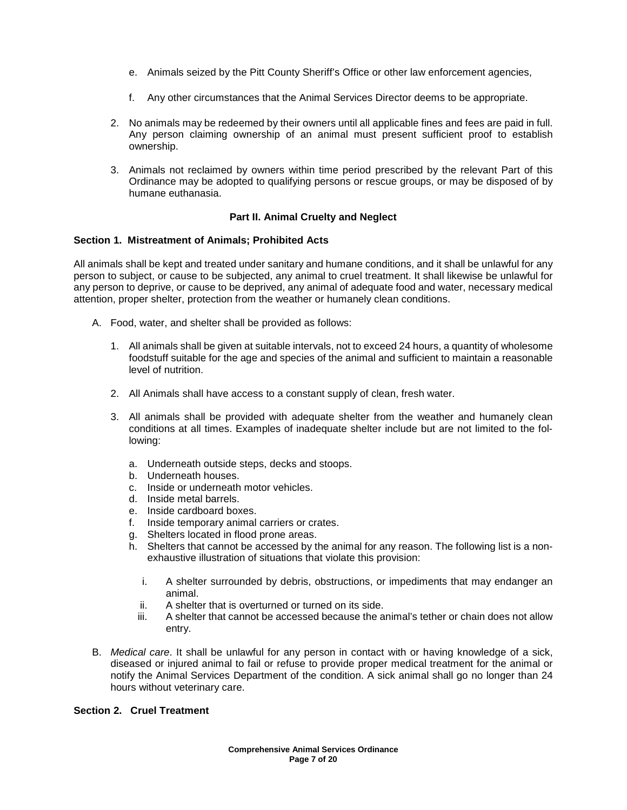- e. Animals seized by the Pitt County Sheriff's Office or other law enforcement agencies,
- f. Any other circumstances that the Animal Services Director deems to be appropriate.
- 2. No animals may be redeemed by their owners until all applicable fines and fees are paid in full. Any person claiming ownership of an animal must present sufficient proof to establish ownership.
- 3. Animals not reclaimed by owners within time period prescribed by the relevant Part of this Ordinance may be adopted to qualifying persons or rescue groups, or may be disposed of by humane euthanasia.

# **Part II. Animal Cruelty and Neglect**

### **Section 1. Mistreatment of Animals; Prohibited Acts**

All animals shall be kept and treated under sanitary and humane conditions, and it shall be unlawful for any person to subject, or cause to be subjected, any animal to cruel treatment. It shall likewise be unlawful for any person to deprive, or cause to be deprived, any animal of adequate food and water, necessary medical attention, proper shelter, protection from the weather or humanely clean conditions.

- A. Food, water, and shelter shall be provided as follows:
	- 1. All animals shall be given at suitable intervals, not to exceed 24 hours, a quantity of wholesome foodstuff suitable for the age and species of the animal and sufficient to maintain a reasonable level of nutrition.
	- 2. All Animals shall have access to a constant supply of clean, fresh water.
	- 3. All animals shall be provided with adequate shelter from the weather and humanely clean conditions at all times. Examples of inadequate shelter include but are not limited to the following:
		- a. Underneath outside steps, decks and stoops.
		- b. Underneath houses.
		- c. Inside or underneath motor vehicles.
		- d. Inside metal barrels.
		- e. Inside cardboard boxes.<br>f. Inside temporary animal
		- Inside temporary animal carriers or crates.
		- g. Shelters located in flood prone areas.
		- h. Shelters that cannot be accessed by the animal for any reason. The following list is a nonexhaustive illustration of situations that violate this provision:
			- i. A shelter surrounded by debris, obstructions, or impediments that may endanger an animal.
			- ii. A shelter that is overturned or turned on its side.
			- iii. A shelter that cannot be accessed because the animal's tether or chain does not allow entry.
- B. Medical care. It shall be unlawful for any person in contact with or having knowledge of a sick, diseased or injured animal to fail or refuse to provide proper medical treatment for the animal or notify the Animal Services Department of the condition. A sick animal shall go no longer than 24 hours without veterinary care.

# **Section 2. Cruel Treatment**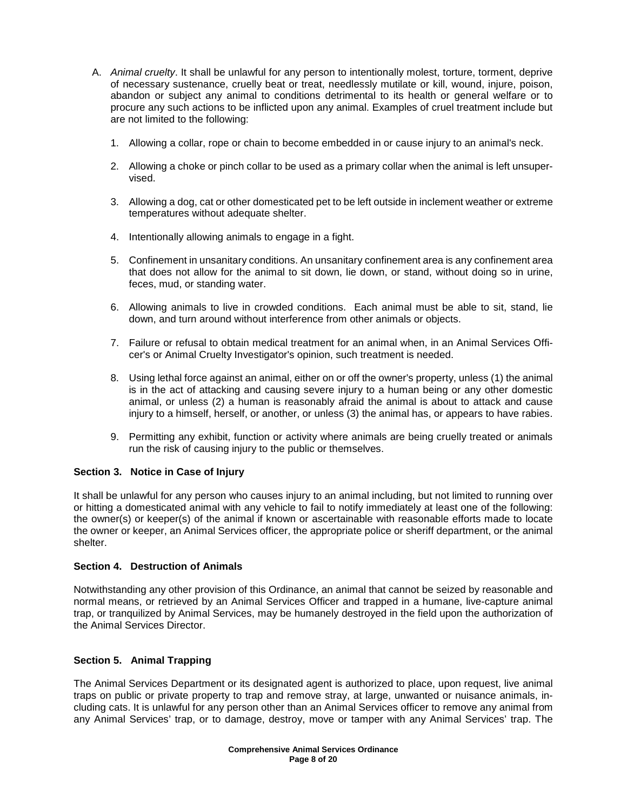- A. Animal cruelty. It shall be unlawful for any person to intentionally molest, torture, torment, deprive of necessary sustenance, cruelly beat or treat, needlessly mutilate or kill, wound, injure, poison, abandon or subject any animal to conditions detrimental to its health or general welfare or to procure any such actions to be inflicted upon any animal. Examples of cruel treatment include but are not limited to the following:
	- 1. Allowing a collar, rope or chain to become embedded in or cause injury to an animal's neck.
	- 2. Allowing a choke or pinch collar to be used as a primary collar when the animal is left unsupervised.
	- 3. Allowing a dog, cat or other domesticated pet to be left outside in inclement weather or extreme temperatures without adequate shelter.
	- 4. Intentionally allowing animals to engage in a fight.
	- 5. Confinement in unsanitary conditions. An unsanitary confinement area is any confinement area that does not allow for the animal to sit down, lie down, or stand, without doing so in urine, feces, mud, or standing water.
	- 6. Allowing animals to live in crowded conditions. Each animal must be able to sit, stand, lie down, and turn around without interference from other animals or objects.
	- 7. Failure or refusal to obtain medical treatment for an animal when, in an Animal Services Officer's or Animal Cruelty Investigator's opinion, such treatment is needed.
	- 8. Using lethal force against an animal, either on or off the owner's property, unless (1) the animal is in the act of attacking and causing severe injury to a human being or any other domestic animal, or unless (2) a human is reasonably afraid the animal is about to attack and cause injury to a himself, herself, or another, or unless (3) the animal has, or appears to have rabies.
	- 9. Permitting any exhibit, function or activity where animals are being cruelly treated or animals run the risk of causing injury to the public or themselves.

### **Section 3. Notice in Case of Injury**

It shall be unlawful for any person who causes injury to an animal including, but not limited to running over or hitting a domesticated animal with any vehicle to fail to notify immediately at least one of the following: the owner(s) or keeper(s) of the animal if known or ascertainable with reasonable efforts made to locate the owner or keeper, an Animal Services officer, the appropriate police or sheriff department, or the animal shelter.

### **Section 4. Destruction of Animals**

Notwithstanding any other provision of this Ordinance, an animal that cannot be seized by reasonable and normal means, or retrieved by an Animal Services Officer and trapped in a humane, live-capture animal trap, or tranquilized by Animal Services, may be humanely destroyed in the field upon the authorization of the Animal Services Director.

### **Section 5. Animal Trapping**

The Animal Services Department or its designated agent is authorized to place, upon request, live animal traps on public or private property to trap and remove stray, at large, unwanted or nuisance animals, including cats. It is unlawful for any person other than an Animal Services officer to remove any animal from any Animal Services' trap, or to damage, destroy, move or tamper with any Animal Services' trap. The

> **Comprehensive Animal Services Ordinance Page 8 of 20**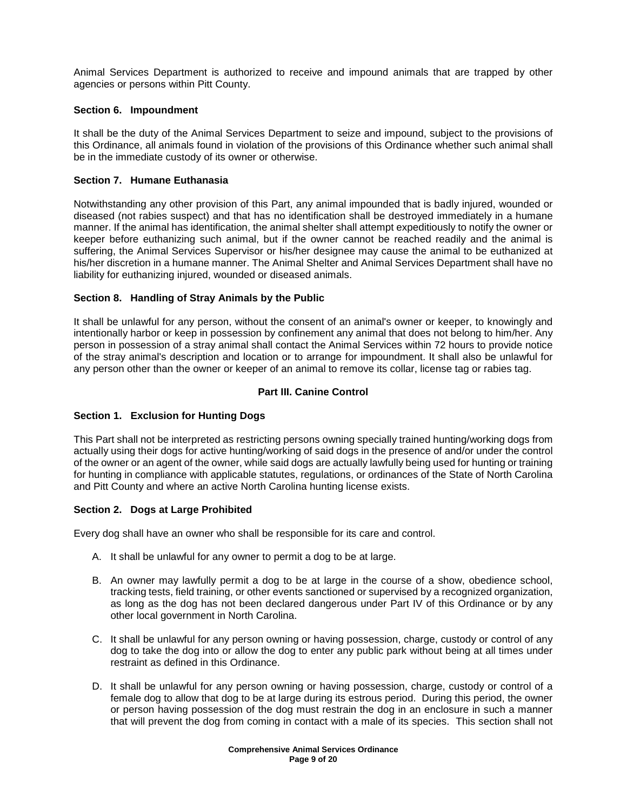Animal Services Department is authorized to receive and impound animals that are trapped by other agencies or persons within Pitt County.

### **Section 6. Impoundment**

It shall be the duty of the Animal Services Department to seize and impound, subject to the provisions of this Ordinance, all animals found in violation of the provisions of this Ordinance whether such animal shall be in the immediate custody of its owner or otherwise.

# **Section 7. Humane Euthanasia**

Notwithstanding any other provision of this Part, any animal impounded that is badly injured, wounded or diseased (not rabies suspect) and that has no identification shall be destroyed immediately in a humane manner. If the animal has identification, the animal shelter shall attempt expeditiously to notify the owner or keeper before euthanizing such animal, but if the owner cannot be reached readily and the animal is suffering, the Animal Services Supervisor or his/her designee may cause the animal to be euthanized at his/her discretion in a humane manner. The Animal Shelter and Animal Services Department shall have no liability for euthanizing injured, wounded or diseased animals.

# **Section 8. Handling of Stray Animals by the Public**

It shall be unlawful for any person, without the consent of an animal's owner or keeper, to knowingly and intentionally harbor or keep in possession by confinement any animal that does not belong to him/her. Any person in possession of a stray animal shall contact the Animal Services within 72 hours to provide notice of the stray animal's description and location or to arrange for impoundment. It shall also be unlawful for any person other than the owner or keeper of an animal to remove its collar, license tag or rabies tag.

### **Part III. Canine Control**

### **Section 1. Exclusion for Hunting Dogs**

This Part shall not be interpreted as restricting persons owning specially trained hunting/working dogs from actually using their dogs for active hunting/working of said dogs in the presence of and/or under the control of the owner or an agent of the owner, while said dogs are actually lawfully being used for hunting or training for hunting in compliance with applicable statutes, regulations, or ordinances of the State of North Carolina and Pitt County and where an active North Carolina hunting license exists.

### **Section 2. Dogs at Large Prohibited**

Every dog shall have an owner who shall be responsible for its care and control.

- A. It shall be unlawful for any owner to permit a dog to be at large.
- B. An owner may lawfully permit a dog to be at large in the course of a show, obedience school, tracking tests, field training, or other events sanctioned or supervised by a recognized organization, as long as the dog has not been declared dangerous under Part IV of this Ordinance or by any other local government in North Carolina.
- C. It shall be unlawful for any person owning or having possession, charge, custody or control of any dog to take the dog into or allow the dog to enter any public park without being at all times under restraint as defined in this Ordinance.
- D. It shall be unlawful for any person owning or having possession, charge, custody or control of a female dog to allow that dog to be at large during its estrous period. During this period, the owner or person having possession of the dog must restrain the dog in an enclosure in such a manner that will prevent the dog from coming in contact with a male of its species. This section shall not

**Comprehensive Animal Services Ordinance Page 9 of 20**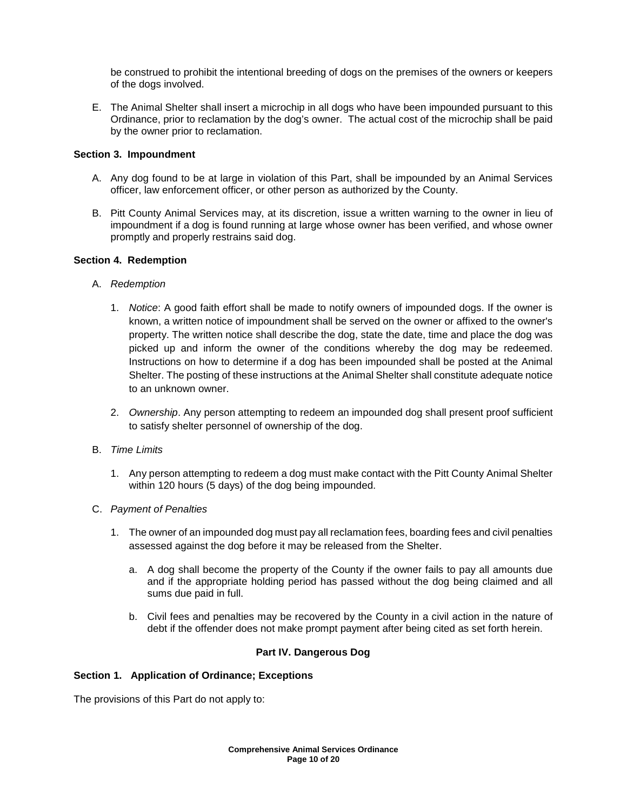be construed to prohibit the intentional breeding of dogs on the premises of the owners or keepers of the dogs involved.

E. The Animal Shelter shall insert a microchip in all dogs who have been impounded pursuant to this Ordinance, prior to reclamation by the dog's owner. The actual cost of the microchip shall be paid by the owner prior to reclamation.

## **Section 3. Impoundment**

- A. Any dog found to be at large in violation of this Part, shall be impounded by an Animal Services officer, law enforcement officer, or other person as authorized by the County.
- B. Pitt County Animal Services may, at its discretion, issue a written warning to the owner in lieu of impoundment if a dog is found running at large whose owner has been verified, and whose owner promptly and properly restrains said dog.

# **Section 4. Redemption**

- A. Redemption
	- 1. Notice: A good faith effort shall be made to notify owners of impounded dogs. If the owner is known, a written notice of impoundment shall be served on the owner or affixed to the owner's property. The written notice shall describe the dog, state the date, time and place the dog was picked up and inform the owner of the conditions whereby the dog may be redeemed. Instructions on how to determine if a dog has been impounded shall be posted at the Animal Shelter. The posting of these instructions at the Animal Shelter shall constitute adequate notice to an unknown owner.
	- 2. Ownership. Any person attempting to redeem an impounded dog shall present proof sufficient to satisfy shelter personnel of ownership of the dog.
- B. Time Limits
	- 1. Any person attempting to redeem a dog must make contact with the Pitt County Animal Shelter within 120 hours (5 days) of the dog being impounded.
- C. Payment of Penalties
	- 1. The owner of an impounded dog must pay all reclamation fees, boarding fees and civil penalties assessed against the dog before it may be released from the Shelter.
		- a. A dog shall become the property of the County if the owner fails to pay all amounts due and if the appropriate holding period has passed without the dog being claimed and all sums due paid in full.
		- b. Civil fees and penalties may be recovered by the County in a civil action in the nature of debt if the offender does not make prompt payment after being cited as set forth herein.

# **Part IV. Dangerous Dog**

### **Section 1. Application of Ordinance; Exceptions**

The provisions of this Part do not apply to: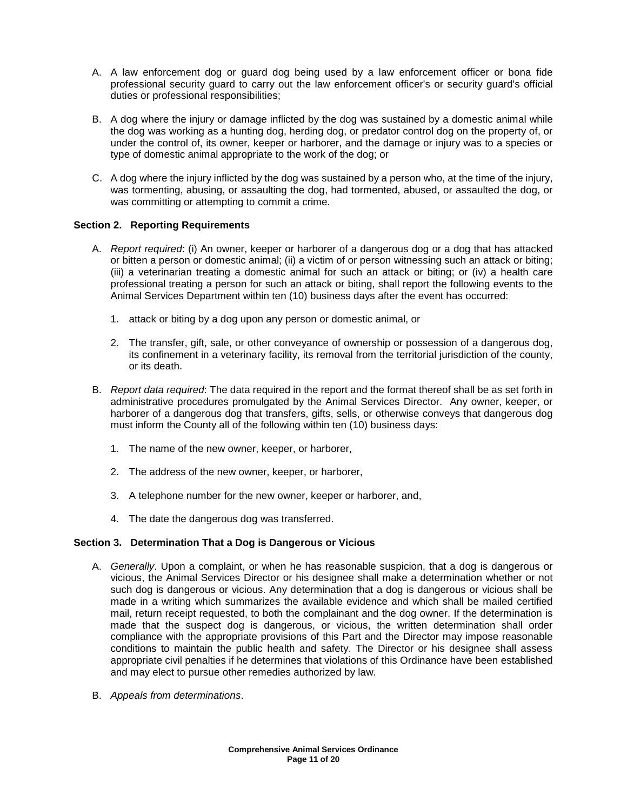- A. A law enforcement dog or guard dog being used by a law enforcement officer or bona fide professional security guard to carry out the law enforcement officer's or security guard's official duties or professional responsibilities;
- B. A dog where the injury or damage inflicted by the dog was sustained by a domestic animal while the dog was working as a hunting dog, herding dog, or predator control dog on the property of, or under the control of, its owner, keeper or harborer, and the damage or injury was to a species or type of domestic animal appropriate to the work of the dog; or
- C. A dog where the injury inflicted by the dog was sustained by a person who, at the time of the injury, was tormenting, abusing, or assaulting the dog, had tormented, abused, or assaulted the dog, or was committing or attempting to commit a crime.

# **Section 2. Reporting Requirements**

- A. Report required: (i) An owner, keeper or harborer of a dangerous dog or a dog that has attacked or bitten a person or domestic animal; (ii) a victim of or person witnessing such an attack or biting; (iii) a veterinarian treating a domestic animal for such an attack or biting; or (iv) a health care professional treating a person for such an attack or biting, shall report the following events to the Animal Services Department within ten (10) business days after the event has occurred:
	- 1. attack or biting by a dog upon any person or domestic animal, or
	- 2. The transfer, gift, sale, or other conveyance of ownership or possession of a dangerous dog, its confinement in a veterinary facility, its removal from the territorial jurisdiction of the county, or its death.
- B. Report data required: The data required in the report and the format thereof shall be as set forth in administrative procedures promulgated by the Animal Services Director. Any owner, keeper, or harborer of a dangerous dog that transfers, gifts, sells, or otherwise conveys that dangerous dog must inform the County all of the following within ten (10) business days:
	- 1. The name of the new owner, keeper, or harborer,
	- 2. The address of the new owner, keeper, or harborer,
	- 3. A telephone number for the new owner, keeper or harborer, and,
	- 4. The date the dangerous dog was transferred.

### **Section 3. Determination That a Dog is Dangerous or Vicious**

- A. Generally. Upon a complaint, or when he has reasonable suspicion, that a dog is dangerous or vicious, the Animal Services Director or his designee shall make a determination whether or not such dog is dangerous or vicious. Any determination that a dog is dangerous or vicious shall be made in a writing which summarizes the available evidence and which shall be mailed certified mail, return receipt requested, to both the complainant and the dog owner. If the determination is made that the suspect dog is dangerous, or vicious, the written determination shall order compliance with the appropriate provisions of this Part and the Director may impose reasonable conditions to maintain the public health and safety. The Director or his designee shall assess appropriate civil penalties if he determines that violations of this Ordinance have been established and may elect to pursue other remedies authorized by law.
- B. Appeals from determinations.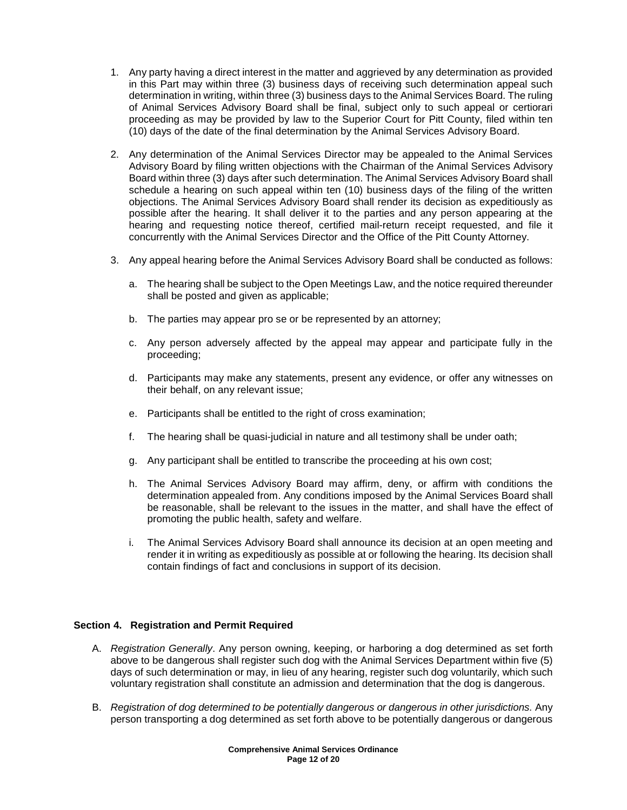- 1. Any party having a direct interest in the matter and aggrieved by any determination as provided in this Part may within three (3) business days of receiving such determination appeal such determination in writing, within three (3) business days to the Animal Services Board. The ruling of Animal Services Advisory Board shall be final, subject only to such appeal or certiorari proceeding as may be provided by law to the Superior Court for Pitt County, filed within ten (10) days of the date of the final determination by the Animal Services Advisory Board.
- 2. Any determination of the Animal Services Director may be appealed to the Animal Services Advisory Board by filing written objections with the Chairman of the Animal Services Advisory Board within three (3) days after such determination. The Animal Services Advisory Board shall schedule a hearing on such appeal within ten (10) business days of the filing of the written objections. The Animal Services Advisory Board shall render its decision as expeditiously as possible after the hearing. It shall deliver it to the parties and any person appearing at the hearing and requesting notice thereof, certified mail-return receipt requested, and file it concurrently with the Animal Services Director and the Office of the Pitt County Attorney.
- 3. Any appeal hearing before the Animal Services Advisory Board shall be conducted as follows:
	- a. The hearing shall be subject to the Open Meetings Law, and the notice required thereunder shall be posted and given as applicable;
	- b. The parties may appear pro se or be represented by an attorney;
	- c. Any person adversely affected by the appeal may appear and participate fully in the proceeding;
	- d. Participants may make any statements, present any evidence, or offer any witnesses on their behalf, on any relevant issue;
	- e. Participants shall be entitled to the right of cross examination;
	- f. The hearing shall be quasi-judicial in nature and all testimony shall be under oath;
	- g. Any participant shall be entitled to transcribe the proceeding at his own cost;
	- h. The Animal Services Advisory Board may affirm, deny, or affirm with conditions the determination appealed from. Any conditions imposed by the Animal Services Board shall be reasonable, shall be relevant to the issues in the matter, and shall have the effect of promoting the public health, safety and welfare.
	- i. The Animal Services Advisory Board shall announce its decision at an open meeting and render it in writing as expeditiously as possible at or following the hearing. Its decision shall contain findings of fact and conclusions in support of its decision.

### **Section 4. Registration and Permit Required**

- A. Registration Generally. Any person owning, keeping, or harboring a dog determined as set forth above to be dangerous shall register such dog with the Animal Services Department within five (5) days of such determination or may, in lieu of any hearing, register such dog voluntarily, which such voluntary registration shall constitute an admission and determination that the dog is dangerous.
- B. Registration of dog determined to be potentially dangerous or dangerous in other jurisdictions. Any person transporting a dog determined as set forth above to be potentially dangerous or dangerous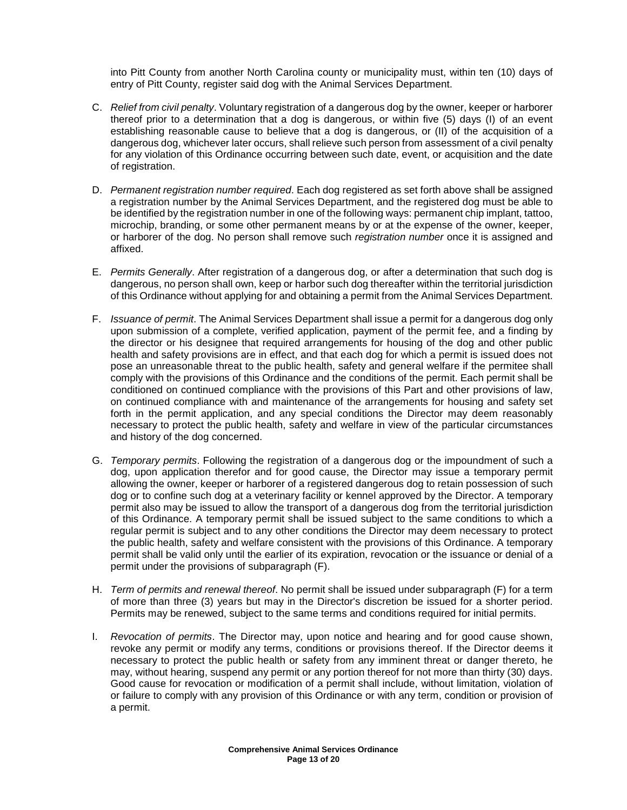into Pitt County from another North Carolina county or municipality must, within ten (10) days of entry of Pitt County, register said dog with the Animal Services Department.

- C. Relief from civil penalty. Voluntary registration of a dangerous dog by the owner, keeper or harborer thereof prior to a determination that a dog is dangerous, or within five (5) days (I) of an event establishing reasonable cause to believe that a dog is dangerous, or (II) of the acquisition of a dangerous dog, whichever later occurs, shall relieve such person from assessment of a civil penalty for any violation of this Ordinance occurring between such date, event, or acquisition and the date of registration.
- D. Permanent registration number required. Each dog registered as set forth above shall be assigned a registration number by the Animal Services Department, and the registered dog must be able to be identified by the registration number in one of the following ways: permanent chip implant, tattoo, microchip, branding, or some other permanent means by or at the expense of the owner, keeper, or harborer of the dog. No person shall remove such registration number once it is assigned and affixed.
- E. Permits Generally. After registration of a dangerous dog, or after a determination that such dog is dangerous, no person shall own, keep or harbor such dog thereafter within the territorial jurisdiction of this Ordinance without applying for and obtaining a permit from the Animal Services Department.
- F. Issuance of permit. The Animal Services Department shall issue a permit for a dangerous dog only upon submission of a complete, verified application, payment of the permit fee, and a finding by the director or his designee that required arrangements for housing of the dog and other public health and safety provisions are in effect, and that each dog for which a permit is issued does not pose an unreasonable threat to the public health, safety and general welfare if the permitee shall comply with the provisions of this Ordinance and the conditions of the permit. Each permit shall be conditioned on continued compliance with the provisions of this Part and other provisions of law, on continued compliance with and maintenance of the arrangements for housing and safety set forth in the permit application, and any special conditions the Director may deem reasonably necessary to protect the public health, safety and welfare in view of the particular circumstances and history of the dog concerned.
- G. Temporary permits. Following the registration of a dangerous dog or the impoundment of such a dog, upon application therefor and for good cause, the Director may issue a temporary permit allowing the owner, keeper or harborer of a registered dangerous dog to retain possession of such dog or to confine such dog at a veterinary facility or kennel approved by the Director. A temporary permit also may be issued to allow the transport of a dangerous dog from the territorial jurisdiction of this Ordinance. A temporary permit shall be issued subject to the same conditions to which a regular permit is subject and to any other conditions the Director may deem necessary to protect the public health, safety and welfare consistent with the provisions of this Ordinance. A temporary permit shall be valid only until the earlier of its expiration, revocation or the issuance or denial of a permit under the provisions of subparagraph (F).
- H. Term of permits and renewal thereof. No permit shall be issued under subparagraph (F) for a term of more than three (3) years but may in the Director's discretion be issued for a shorter period. Permits may be renewed, subject to the same terms and conditions required for initial permits.
- I. Revocation of permits. The Director may, upon notice and hearing and for good cause shown, revoke any permit or modify any terms, conditions or provisions thereof. If the Director deems it necessary to protect the public health or safety from any imminent threat or danger thereto, he may, without hearing, suspend any permit or any portion thereof for not more than thirty (30) days. Good cause for revocation or modification of a permit shall include, without limitation, violation of or failure to comply with any provision of this Ordinance or with any term, condition or provision of a permit.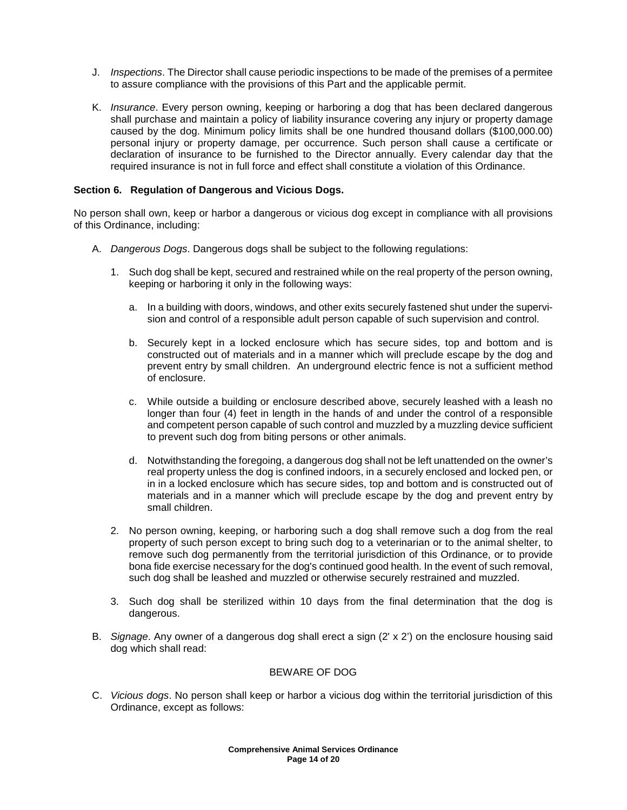- J. Inspections. The Director shall cause periodic inspections to be made of the premises of a permitee to assure compliance with the provisions of this Part and the applicable permit.
- K. Insurance. Every person owning, keeping or harboring a dog that has been declared dangerous shall purchase and maintain a policy of liability insurance covering any injury or property damage caused by the dog. Minimum policy limits shall be one hundred thousand dollars (\$100,000.00) personal injury or property damage, per occurrence. Such person shall cause a certificate or declaration of insurance to be furnished to the Director annually. Every calendar day that the required insurance is not in full force and effect shall constitute a violation of this Ordinance.

## **Section 6. Regulation of Dangerous and Vicious Dogs.**

No person shall own, keep or harbor a dangerous or vicious dog except in compliance with all provisions of this Ordinance, including:

- A. Dangerous Dogs. Dangerous dogs shall be subject to the following regulations:
	- 1. Such dog shall be kept, secured and restrained while on the real property of the person owning, keeping or harboring it only in the following ways:
		- a. In a building with doors, windows, and other exits securely fastened shut under the supervision and control of a responsible adult person capable of such supervision and control.
		- b. Securely kept in a locked enclosure which has secure sides, top and bottom and is constructed out of materials and in a manner which will preclude escape by the dog and prevent entry by small children. An underground electric fence is not a sufficient method of enclosure.
		- c. While outside a building or enclosure described above, securely leashed with a leash no longer than four (4) feet in length in the hands of and under the control of a responsible and competent person capable of such control and muzzled by a muzzling device sufficient to prevent such dog from biting persons or other animals.
		- d. Notwithstanding the foregoing, a dangerous dog shall not be left unattended on the owner's real property unless the dog is confined indoors, in a securely enclosed and locked pen, or in in a locked enclosure which has secure sides, top and bottom and is constructed out of materials and in a manner which will preclude escape by the dog and prevent entry by small children.
	- 2. No person owning, keeping, or harboring such a dog shall remove such a dog from the real property of such person except to bring such dog to a veterinarian or to the animal shelter, to remove such dog permanently from the territorial jurisdiction of this Ordinance, or to provide bona fide exercise necessary for the dog's continued good health. In the event of such removal, such dog shall be leashed and muzzled or otherwise securely restrained and muzzled.
	- 3. Such dog shall be sterilized within 10 days from the final determination that the dog is dangerous.
- B. Signage. Any owner of a dangerous dog shall erect a sign (2' x 2') on the enclosure housing said dog which shall read:

# BEWARE OF DOG

C. Vicious dogs. No person shall keep or harbor a vicious dog within the territorial jurisdiction of this Ordinance, except as follows: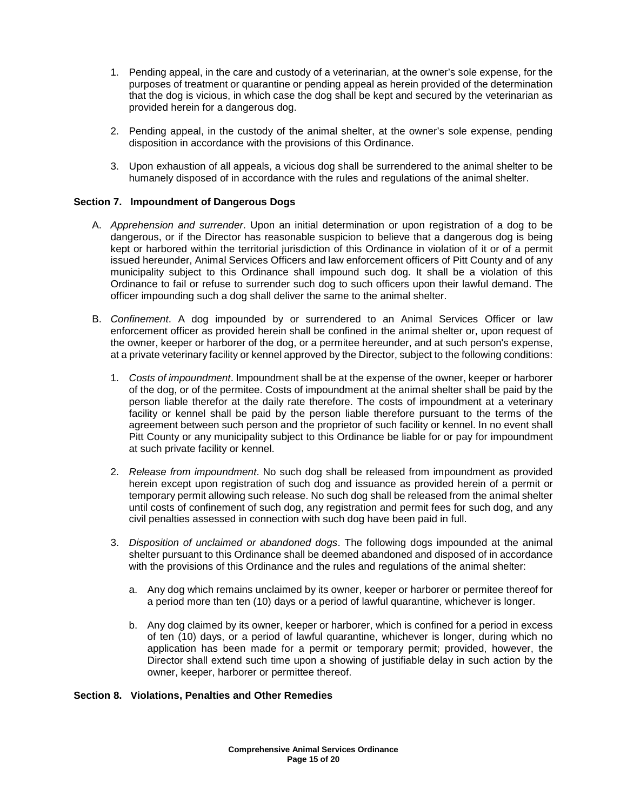- 1. Pending appeal, in the care and custody of a veterinarian, at the owner's sole expense, for the purposes of treatment or quarantine or pending appeal as herein provided of the determination that the dog is vicious, in which case the dog shall be kept and secured by the veterinarian as provided herein for a dangerous dog.
- 2. Pending appeal, in the custody of the animal shelter, at the owner's sole expense, pending disposition in accordance with the provisions of this Ordinance.
- 3. Upon exhaustion of all appeals, a vicious dog shall be surrendered to the animal shelter to be humanely disposed of in accordance with the rules and regulations of the animal shelter.

## **Section 7. Impoundment of Dangerous Dogs**

- A. Apprehension and surrender. Upon an initial determination or upon registration of a dog to be dangerous, or if the Director has reasonable suspicion to believe that a dangerous dog is being kept or harbored within the territorial jurisdiction of this Ordinance in violation of it or of a permit issued hereunder, Animal Services Officers and law enforcement officers of Pitt County and of any municipality subject to this Ordinance shall impound such dog. It shall be a violation of this Ordinance to fail or refuse to surrender such dog to such officers upon their lawful demand. The officer impounding such a dog shall deliver the same to the animal shelter.
- B. Confinement. A dog impounded by or surrendered to an Animal Services Officer or law enforcement officer as provided herein shall be confined in the animal shelter or, upon request of the owner, keeper or harborer of the dog, or a permitee hereunder, and at such person's expense, at a private veterinary facility or kennel approved by the Director, subject to the following conditions:
	- 1. Costs of impoundment. Impoundment shall be at the expense of the owner, keeper or harborer of the dog, or of the permitee. Costs of impoundment at the animal shelter shall be paid by the person liable therefor at the daily rate therefore. The costs of impoundment at a veterinary facility or kennel shall be paid by the person liable therefore pursuant to the terms of the agreement between such person and the proprietor of such facility or kennel. In no event shall Pitt County or any municipality subject to this Ordinance be liable for or pay for impoundment at such private facility or kennel.
	- 2. Release from impoundment. No such dog shall be released from impoundment as provided herein except upon registration of such dog and issuance as provided herein of a permit or temporary permit allowing such release. No such dog shall be released from the animal shelter until costs of confinement of such dog, any registration and permit fees for such dog, and any civil penalties assessed in connection with such dog have been paid in full.
	- 3. Disposition of unclaimed or abandoned dogs. The following dogs impounded at the animal shelter pursuant to this Ordinance shall be deemed abandoned and disposed of in accordance with the provisions of this Ordinance and the rules and regulations of the animal shelter:
		- a. Any dog which remains unclaimed by its owner, keeper or harborer or permitee thereof for a period more than ten (10) days or a period of lawful quarantine, whichever is longer.
		- b. Any dog claimed by its owner, keeper or harborer, which is confined for a period in excess of ten (10) days, or a period of lawful quarantine, whichever is longer, during which no application has been made for a permit or temporary permit; provided, however, the Director shall extend such time upon a showing of justifiable delay in such action by the owner, keeper, harborer or permittee thereof.

#### **Section 8. Violations, Penalties and Other Remedies**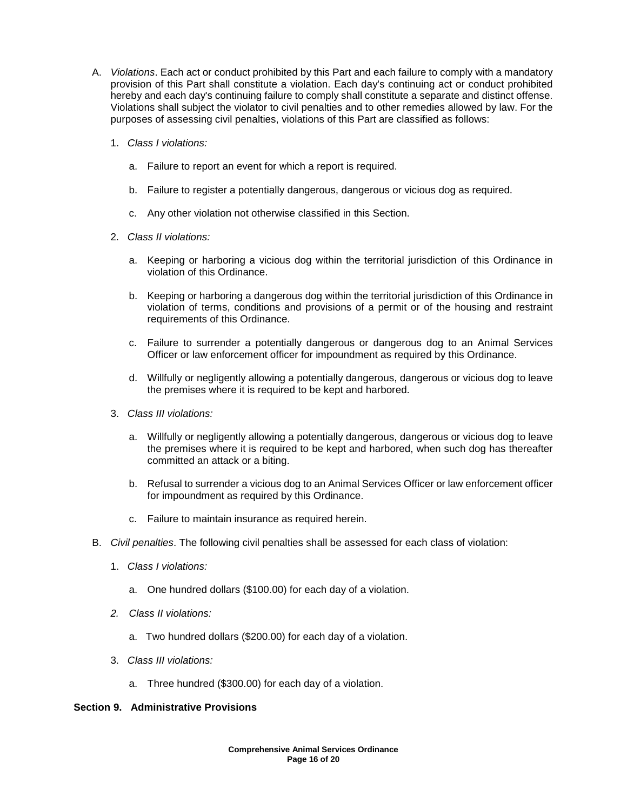- A. Violations. Each act or conduct prohibited by this Part and each failure to comply with a mandatory provision of this Part shall constitute a violation. Each day's continuing act or conduct prohibited hereby and each day's continuing failure to comply shall constitute a separate and distinct offense. Violations shall subject the violator to civil penalties and to other remedies allowed by law. For the purposes of assessing civil penalties, violations of this Part are classified as follows:
	- 1. Class I violations:
		- a. Failure to report an event for which a report is required.
		- b. Failure to register a potentially dangerous, dangerous or vicious dog as required.
		- c. Any other violation not otherwise classified in this Section.
	- 2. Class II violations:
		- a. Keeping or harboring a vicious dog within the territorial jurisdiction of this Ordinance in violation of this Ordinance.
		- b. Keeping or harboring a dangerous dog within the territorial jurisdiction of this Ordinance in violation of terms, conditions and provisions of a permit or of the housing and restraint requirements of this Ordinance.
		- c. Failure to surrender a potentially dangerous or dangerous dog to an Animal Services Officer or law enforcement officer for impoundment as required by this Ordinance.
		- d. Willfully or negligently allowing a potentially dangerous, dangerous or vicious dog to leave the premises where it is required to be kept and harbored.
	- 3. Class III violations:
		- a. Willfully or negligently allowing a potentially dangerous, dangerous or vicious dog to leave the premises where it is required to be kept and harbored, when such dog has thereafter committed an attack or a biting.
		- b. Refusal to surrender a vicious dog to an Animal Services Officer or law enforcement officer for impoundment as required by this Ordinance.
		- c. Failure to maintain insurance as required herein.
- B. Civil penalties. The following civil penalties shall be assessed for each class of violation:
	- 1. Class I violations:
		- a. One hundred dollars (\$100.00) for each day of a violation.
	- 2. Class II violations:
		- a. Two hundred dollars (\$200.00) for each day of a violation.
	- 3. Class III violations:
		- a. Three hundred (\$300.00) for each day of a violation.

## **Section 9. Administrative Provisions**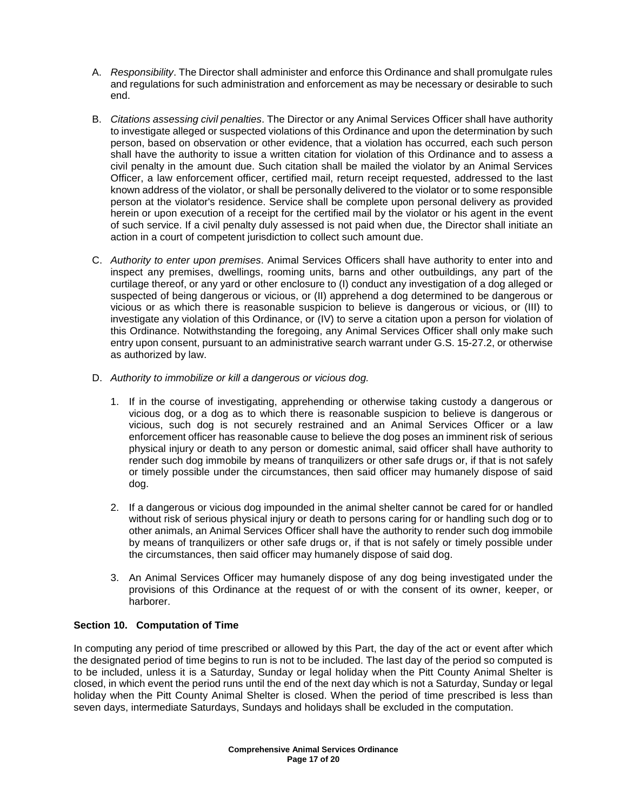- A. Responsibility. The Director shall administer and enforce this Ordinance and shall promulgate rules and regulations for such administration and enforcement as may be necessary or desirable to such end.
- B. Citations assessing civil penalties. The Director or any Animal Services Officer shall have authority to investigate alleged or suspected violations of this Ordinance and upon the determination by such person, based on observation or other evidence, that a violation has occurred, each such person shall have the authority to issue a written citation for violation of this Ordinance and to assess a civil penalty in the amount due. Such citation shall be mailed the violator by an Animal Services Officer, a law enforcement officer, certified mail, return receipt requested, addressed to the last known address of the violator, or shall be personally delivered to the violator or to some responsible person at the violator's residence. Service shall be complete upon personal delivery as provided herein or upon execution of a receipt for the certified mail by the violator or his agent in the event of such service. If a civil penalty duly assessed is not paid when due, the Director shall initiate an action in a court of competent jurisdiction to collect such amount due.
- C. Authority to enter upon premises. Animal Services Officers shall have authority to enter into and inspect any premises, dwellings, rooming units, barns and other outbuildings, any part of the curtilage thereof, or any yard or other enclosure to (I) conduct any investigation of a dog alleged or suspected of being dangerous or vicious, or (II) apprehend a dog determined to be dangerous or vicious or as which there is reasonable suspicion to believe is dangerous or vicious, or (III) to investigate any violation of this Ordinance, or (IV) to serve a citation upon a person for violation of this Ordinance. Notwithstanding the foregoing, any Animal Services Officer shall only make such entry upon consent, pursuant to an administrative search warrant under G.S. 15-27.2, or otherwise as authorized by law.
- D. Authority to immobilize or kill a dangerous or vicious dog.
	- 1. If in the course of investigating, apprehending or otherwise taking custody a dangerous or vicious dog, or a dog as to which there is reasonable suspicion to believe is dangerous or vicious, such dog is not securely restrained and an Animal Services Officer or a law enforcement officer has reasonable cause to believe the dog poses an imminent risk of serious physical injury or death to any person or domestic animal, said officer shall have authority to render such dog immobile by means of tranquilizers or other safe drugs or, if that is not safely or timely possible under the circumstances, then said officer may humanely dispose of said dog.
	- 2. If a dangerous or vicious dog impounded in the animal shelter cannot be cared for or handled without risk of serious physical injury or death to persons caring for or handling such dog or to other animals, an Animal Services Officer shall have the authority to render such dog immobile by means of tranquilizers or other safe drugs or, if that is not safely or timely possible under the circumstances, then said officer may humanely dispose of said dog.
	- 3. An Animal Services Officer may humanely dispose of any dog being investigated under the provisions of this Ordinance at the request of or with the consent of its owner, keeper, or harborer.

# **Section 10. Computation of Time**

In computing any period of time prescribed or allowed by this Part, the day of the act or event after which the designated period of time begins to run is not to be included. The last day of the period so computed is to be included, unless it is a Saturday, Sunday or legal holiday when the Pitt County Animal Shelter is closed, in which event the period runs until the end of the next day which is not a Saturday, Sunday or legal holiday when the Pitt County Animal Shelter is closed. When the period of time prescribed is less than seven days, intermediate Saturdays, Sundays and holidays shall be excluded in the computation.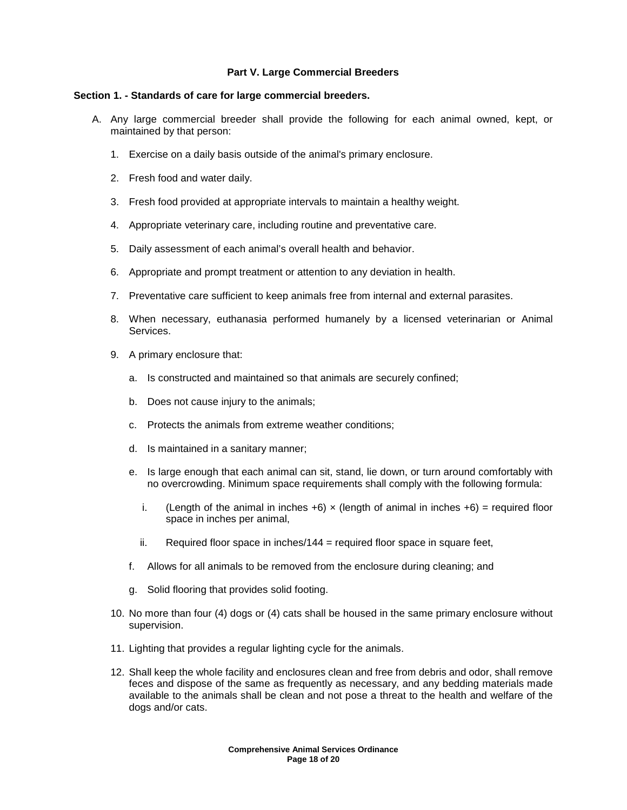## **Part V. Large Commercial Breeders**

### **Section 1. - Standards of care for large commercial breeders.**

- A. Any large commercial breeder shall provide the following for each animal owned, kept, or maintained by that person:
	- 1. Exercise on a daily basis outside of the animal's primary enclosure.
	- 2. Fresh food and water daily.
	- 3. Fresh food provided at appropriate intervals to maintain a healthy weight.
	- 4. Appropriate veterinary care, including routine and preventative care.
	- 5. Daily assessment of each animal's overall health and behavior.
	- 6. Appropriate and prompt treatment or attention to any deviation in health.
	- 7. Preventative care sufficient to keep animals free from internal and external parasites.
	- 8. When necessary, euthanasia performed humanely by a licensed veterinarian or Animal Services.
	- 9. A primary enclosure that:
		- a. Is constructed and maintained so that animals are securely confined;
		- b. Does not cause injury to the animals;
		- c. Protects the animals from extreme weather conditions;
		- d. Is maintained in a sanitary manner;
		- e. Is large enough that each animal can sit, stand, lie down, or turn around comfortably with no overcrowding. Minimum space requirements shall comply with the following formula:
			- i. (Length of the animal in inches  $+6$ )  $\times$  (length of animal in inches  $+6$ ) = required floor space in inches per animal,
			- ii. Required floor space in inches/144  $=$  required floor space in square feet,
		- f. Allows for all animals to be removed from the enclosure during cleaning; and
		- g. Solid flooring that provides solid footing.
	- 10. No more than four (4) dogs or (4) cats shall be housed in the same primary enclosure without supervision.
	- 11. Lighting that provides a regular lighting cycle for the animals.
	- 12. Shall keep the whole facility and enclosures clean and free from debris and odor, shall remove feces and dispose of the same as frequently as necessary, and any bedding materials made available to the animals shall be clean and not pose a threat to the health and welfare of the dogs and/or cats.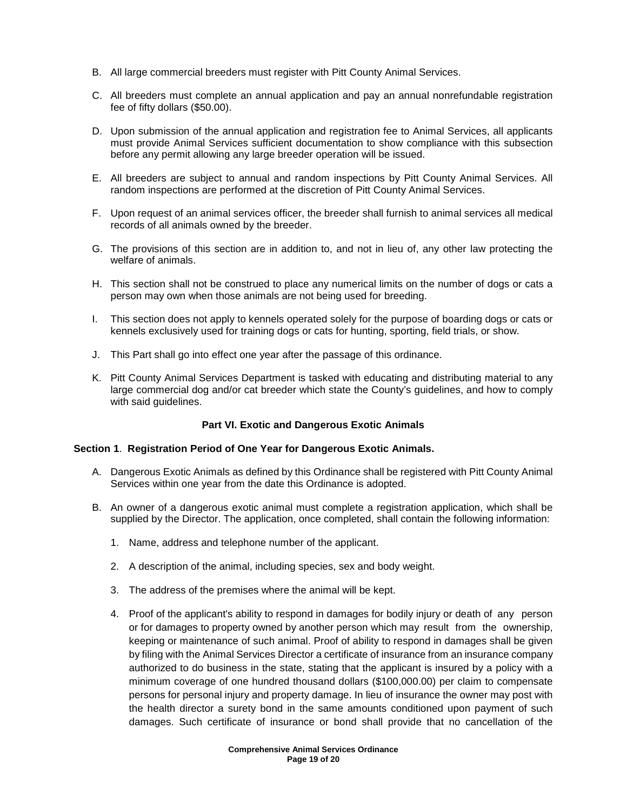- B. All large commercial breeders must register with Pitt County Animal Services.
- C. All breeders must complete an annual application and pay an annual nonrefundable registration fee of fifty dollars (\$50.00).
- D. Upon submission of the annual application and registration fee to Animal Services, all applicants must provide Animal Services sufficient documentation to show compliance with this subsection before any permit allowing any large breeder operation will be issued.
- E. All breeders are subject to annual and random inspections by Pitt County Animal Services. All random inspections are performed at the discretion of Pitt County Animal Services.
- F. Upon request of an animal services officer, the breeder shall furnish to animal services all medical records of all animals owned by the breeder.
- G. The provisions of this section are in addition to, and not in lieu of, any other law protecting the welfare of animals.
- H. This section shall not be construed to place any numerical limits on the number of dogs or cats a person may own when those animals are not being used for breeding.
- I. This section does not apply to kennels operated solely for the purpose of boarding dogs or cats or kennels exclusively used for training dogs or cats for hunting, sporting, field trials, or show.
- J. This Part shall go into effect one year after the passage of this ordinance.
- K. Pitt County Animal Services Department is tasked with educating and distributing material to any large commercial dog and/or cat breeder which state the County's guidelines, and how to comply with said guidelines.

# **Part VI. Exotic and Dangerous Exotic Animals**

### **Section 1**. **Registration Period of One Year for Dangerous Exotic Animals.**

- A. Dangerous Exotic Animals as defined by this Ordinance shall be registered with Pitt County Animal Services within one year from the date this Ordinance is adopted.
- B. An owner of a dangerous exotic animal must complete a registration application, which shall be supplied by the Director. The application, once completed, shall contain the following information:
	- 1. Name, address and telephone number of the applicant.
	- 2. A description of the animal, including species, sex and body weight.
	- 3. The address of the premises where the animal will be kept.
	- 4. Proof of the applicant's ability to respond in damages for bodily injury or death of any person or for damages to property owned by another person which may result from the ownership, keeping or maintenance of such animal. Proof of ability to respond in damages shall be given by filing with the Animal Services Director a certificate of insurance from an insurance company authorized to do business in the state, stating that the applicant is insured by a policy with a minimum coverage of one hundred thousand dollars (\$100,000.00) per claim to compensate persons for personal injury and property damage. In lieu of insurance the owner may post with the health director a surety bond in the same amounts conditioned upon payment of such damages. Such certificate of insurance or bond shall provide that no cancellation of the